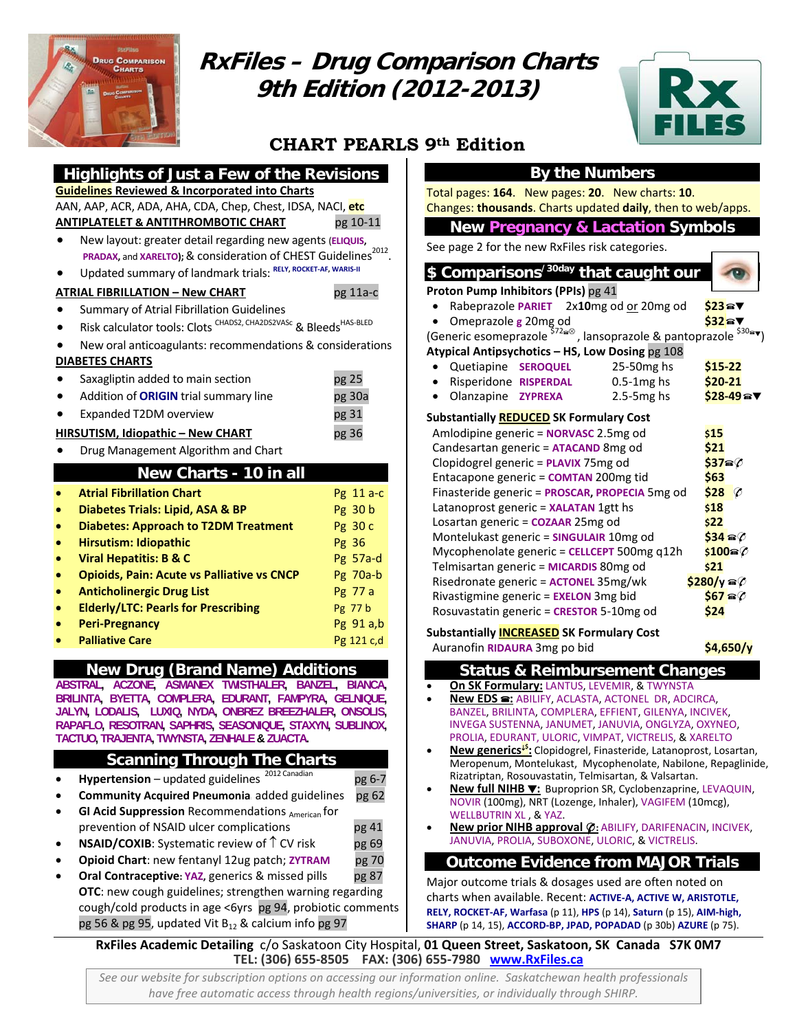

# **RxFiles – Drug Comparison Charts 9th Edition (2012-2013)**



# **CHART PEARLS 9th Edition**

## **By the Numbers**

Total pages: **164**. New pages: **20**. New charts: **10**. Changes: **thousands**. Charts updated **daily**, then to web/apps.

#### **New Pregnancy & Lactation Symbols**

See page 2 for the new RxFiles risk categories.

| \$ Comparisons <sup>/30day</sup> that caught our |  |
|--------------------------------------------------|--|
| <b>Proton Pump Inhibitors (PPIs) pg 41</b>       |  |

- 
- **Rabeprazole PARIET** 2x10mg od <u>or</u> 20mg od **\$23 AV**<br>○ Omeprazole g 20mg od **\$32** • Omeprazole **g** 20mg od **\$32**W
- (Generic esomeprazole <sup>\$72</sup>®, lansoprazole & pantoprazole <sup>\$30</sup>®▼)

#### **Atypical Antipsychotics – HS, Low Dosing** pg 108

- Quetiapine **SEROQUEL** 25‐50mg hs **\$15‐22**
- Risperidone **RISPERDAL** 0.5‐1mg hs **\$20‐21**
- Olanzapine **ZYPREXA** 2.5‐5mg hs **\$28‐49**W

#### **Substantially REDUCED SK Formulary Cost**

| Amlodipine generic = <b>NORVASC</b> 2.5mg od   | \$15                     |           |
|------------------------------------------------|--------------------------|-----------|
| Candesartan generic = ATACAND 8mg od           | \$21                     |           |
| Clopidogrel generic = PLAVIX 75mg od           | \$37a%                   |           |
| Entacapone generic = COMTAN 200mg tid          | \$63                     |           |
| Finasteride generic = PROSCAR, PROPECIA 5mg od | \$28                     | $\varphi$ |
| Latanoprost generic = XALATAN 1gtt hs          | \$18                     |           |
| Losartan generic = COZAAR 25mg od              | \$22                     |           |
| Montelukast generic = SINGULAIR 10mg od        | $$34 \text{ m\%}$        |           |
| Mycophenolate generic = CELLCEPT 500mg q12h    | \$100@                   |           |
| Telmisartan generic = MICARDIS 80mg od         | \$21                     |           |
| Risedronate generic = ACTONEL 35mg/wk          | $$280/y$ a $\varnothing$ |           |
| Rivastigmine generic = EXELON 3mg bid          | $$67$ a $$6$             |           |
| Rosuvastatin generic = CRESTOR 5-10mg od       | S24                      |           |

#### **Substantially INCREASED SK Formulary Cost**

Auranofin **RIDAURA** 3mg po bid **\$4,650/y**

| <b>Status &amp; Reimbursement Changes</b> |  |  |
|-------------------------------------------|--|--|
|                                           |  |  |

- **On SK Formulary:** LANTUS, LEVEMIR, & TWYNSTA
- **New EDS :** ABILIFY, ACLASTA, ACTONEL DR, ADCIRCA, BANZEL, BRILINTA, COMPLERA, EFFIENT, GILENYA, INCIVEK, INVEGA SUSTENNA, JANUMET, JANUVIA, ONGLYZA, OXYNEO, PROLIA, EDURANT, ULORIC, VIMPAT, VICTRELIS, & XARELTO
- **New generics**↓**\$ :** Clopidogrel, Finasteride, Latanoprost, Losartan, Meropenum, Montelukast, Mycophenolate, Nabilone, Repaglinide, Rizatriptan, Rosouvastatin, Telmisartan, & Valsartan.
- **New full NIHB** W**:** Buproprion SR, Cyclobenzaprine, LEVAQUIN, NOVIR (100mg), NRT (Lozenge, Inhaler), VAGIFEM (10mcg), WELLBUTRIN XL , & YAZ.
- **New prior NIHB approval :** ABILIFY, DARIFENACIN, INCIVEK, JANUVIA, PROLIA, SUBOXONE, ULORIC, & VICTRELIS.

## **Outcome Evidence from MAJOR Trials**

Major outcome trials & dosages used are often noted on charts when available. Recent: **ACTIVE‐A, ACTIVE W, ARISTOTLE, RELY, ROCKET‐AF, Warfasa** (p 11), **HPS** (p 14), **Saturn** (p 15), **AIM‐high, SHARP** (p 14, 15), **ACCORD‐BP, JPAD, POPADAD** (p 30b) **AZURE** (p 75).

**RxFiles Academic Detailing** c/o Saskatoon City Hospital, **01 Queen Street, Saskatoon, SK Canada S7K 0M7 TEL: (306) 655‐8505 FAX: (306) 655‐7980 www.RxFiles.ca**

*See our website for subscription options on accessing our information online. Saskatchewan health professionals have free automatic access through health regions/universities, or individually through SHIRP.*

• Updated summary of landmark trials: **RELY, ROCKET‐AF, WARIS‐II ATRIAL FIBRILLATION – New CHART**  pg 11a‐c

**Guidelines Reviewed & Incorporated into Charts**

• Summary of Atrial Fibrillation Guidelines

- Risk calculator tools: Clots CHADS2, CHA2DS2VASc & Bleeds HAS-BLED
- New oral anticoagulants: recommendations & considerations

**PRADAX, and XARELTO);** & consideration of CHEST Guidelines<sup>2012</sup>.

**Highlights of Just a Few of the Revisions** 

AAN, AAP, ACR, ADA, AHA, CDA, Chep, Chest, IDSA, NACI, **etc ANTIPLATELET & ANTITHROMBOTIC CHART** pg 10‐11 • New layout: greater detail regarding new agents (**ELIQUIS,**

#### **DIABETES CHARTS**

| $\bullet$ | Saxagliptin added to main section            | pg 25  |
|-----------|----------------------------------------------|--------|
| $\bullet$ | Addition of <b>ORIGIN</b> trial summary line | pg 30a |
| $\bullet$ | Expanded T2DM overview                       | pg 31  |
|           | <b>HIRSUTISM, Idiopathic - New CHART</b>     | pg 36  |

# • Drug Management Algorithm and Chart

| New Charts - 10 in all |  |
|------------------------|--|
|                        |  |

|           | <b>Atrial Fibrillation Chart</b>                  | Pg 11 a-c  |
|-----------|---------------------------------------------------|------------|
| $\bullet$ | Diabetes Trials: Lipid, ASA & BP                  | Pg 30 b    |
| $\bullet$ | <b>Diabetes: Approach to T2DM Treatment</b>       | Pg 30 c    |
| $\bullet$ | Hirsutism: Idiopathic                             | Pg 36      |
| $\bullet$ | <b>Viral Hepatitis: B &amp; C</b>                 | $Pg$ 57a-d |
| $\bullet$ | <b>Opioids, Pain: Acute vs Palliative vs CNCP</b> | Pg 70a-b   |
| $\bullet$ | <b>Anticholinergic Drug List</b>                  | Pg 77 a    |
| $\bullet$ | <b>Elderly/LTC: Pearls for Prescribing</b>        | Pg 77 b    |
|           | <b>Peri-Pregnancy</b>                             | Pg 91 a,b  |
|           | <b>Palliative Care</b>                            | Pg 121 c,d |
|           |                                                   |            |

## **New Drug (Brand Name) Additions**

**ABSTRAL, ACZONE, ASMANEX TWISTHALER, BANZEL, BIANCA, BRILINTA, BYETTA, COMPLERA, EDURANT, FAMPYRA, GELNIQUE, JALYN, LODALIS, LUXIQ, NYDA, ONBREZ BREEZHALER, ONSOLIS, RAPAFLO, RESOTRAN, SAPHRIS, SEASONIQUE, STAXYN, SUBLINOX, TACTUO, TRAJENTA, TWYNSTA, ZENHALE & ZUACTA.**

## **Scanning Through The Charts**

| Hypertension - updated guidelines <sup>2012 Canadian</sup>      | pg 6-7 |
|-----------------------------------------------------------------|--------|
| Community Acquired Pneumonia added guidelines                   | pg 62  |
| GI Acid Suppression Recommendations American for                |        |
| prevention of NSAID ulcer complications                         | pg 41  |
| <b>NSAID/COXIB:</b> Systematic review of $\uparrow$ CV risk     | pg 69  |
| Opioid Chart: new fentanyl 12ug patch; ZYTRAM                   | pg 70  |
| Oral Contraceptive: YAZ, generics & missed pills                | pg 87  |
| OTC: new cough guidelines; strengthen warning regarding         |        |
| cough/cold products in age <6yrs pg 94, probiotic comments      |        |
| pg 56 & pg 95, updated Vit B <sub>12</sub> & calcium info pg 97 |        |
| RxFiles Academic Detailing c/o Saskatoon City Hospit            |        |